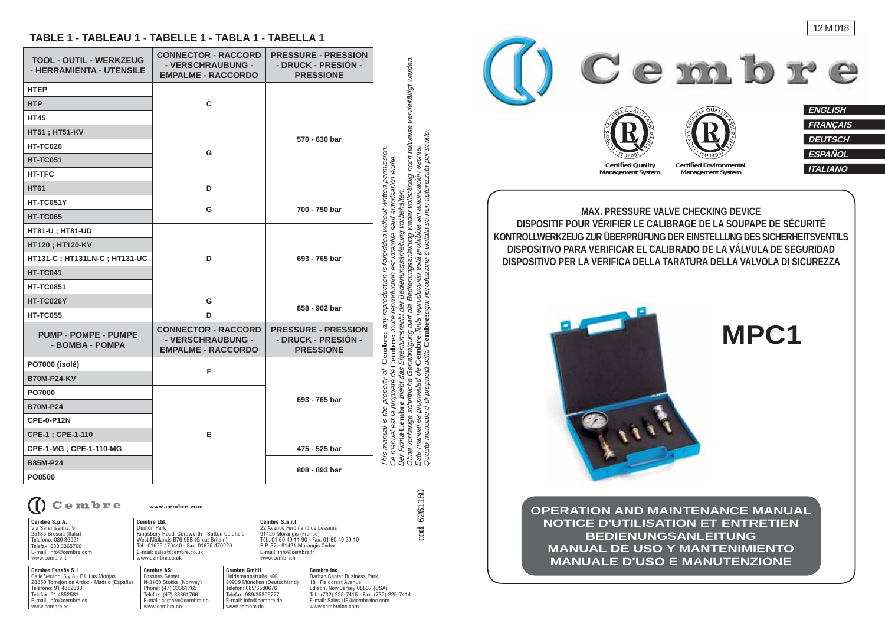#### **TABLE 1 - TABLEAU 1 - TABELLE 1 - TABLA 1 - TABELLA 1**

| TOOL - OUTIL - WERKZEUG<br>- HERRAMIENTA - UTENSILE | <b>CONNECTOR - RACCORD</b><br>- VERSCHRAUBUNG -<br><b>EMPALME - RACCORDO</b> | <b>PRESSURE - PRESSION</b><br>- DRUCK - PRESIÓN -<br><b>PRESSIONE</b> |
|-----------------------------------------------------|------------------------------------------------------------------------------|-----------------------------------------------------------------------|
| <b>HTEP</b>                                         | C                                                                            | 570 - 630 bar                                                         |
| <b>HTP</b>                                          |                                                                              |                                                                       |
| <b>HT45</b>                                         |                                                                              |                                                                       |
| <b>HT51; HT51-KV</b>                                | G                                                                            |                                                                       |
| <b>HT-TC026</b>                                     |                                                                              |                                                                       |
| <b>HT-TC051</b>                                     |                                                                              |                                                                       |
| <b>HT-TFC</b>                                       |                                                                              |                                                                       |
| <b>HT61</b>                                         | D                                                                            |                                                                       |
| HT-TC051Y                                           | G                                                                            | 700 - 750 bar                                                         |
| <b>HT-TC065</b>                                     |                                                                              |                                                                       |
| HT81-U; HT81-UD                                     | D                                                                            | 693 - 765 bar                                                         |
| HT120; HT120-KV                                     |                                                                              |                                                                       |
| HT131-C; HT131LN-C; HT131-UC                        |                                                                              |                                                                       |
| <b>HT-TC041</b>                                     |                                                                              |                                                                       |
| <b>HT-TC0851</b>                                    |                                                                              |                                                                       |
| HT-TC026Y                                           | G                                                                            | 858 - 902 bar                                                         |
| <b>HT-TC055</b>                                     | D                                                                            |                                                                       |
| <b>PUMP - POMPE - PUMPE</b><br>- BOMBA - POMPA      | <b>CONNECTOR - RACCORD</b><br>- VERSCHRAUBUNG -<br><b>EMPALME - RACCORDO</b> | <b>PRESSURE - PRESSION</b><br>- DRUCK - PRESIÓN -<br><b>PRESSIONE</b> |
| PO7000 (isolé)                                      | F                                                                            | 693 - 765 bar                                                         |
| <b>B70M-P24-KV</b>                                  |                                                                              |                                                                       |
| PO7000                                              | E                                                                            |                                                                       |
| <b>B70M-P24</b>                                     |                                                                              |                                                                       |
| <b>CPE-0-P12N</b>                                   |                                                                              |                                                                       |
| CPE-1; CPE-1-110                                    |                                                                              |                                                                       |
| CPE-1-MG; CPE-1-110-MG                              |                                                                              | 475 - 525 bar                                                         |
| <b>B85M-P24</b><br>PO8500                           |                                                                              | 808 - 893 bar                                                         |

**combre Ltd. Cembre Ltd.** Dunton Park Combre S.a.r.l.<br>
Dunton Park Curdworth - Sutton Coldfield 22 Avenue Ferdinand de Lesseps<br>
Kingsbury Road, Curdworth - Sutton Coldfield 91420 Morangis (France)<br>
West Midlands B76 9EB Cembre \_\_ www.cembre.com

**Cembre S.p.A.** Via Serenissima, 9 25135 Brescia (Italia) Telefono: 030 36921 Telefax: 030 3365766E-mail: info@cembre.com

www.cembre.it

**Cembre España S.L.** Calle Verano, 6 y 8 - P.I. Las Monjas 28850 Torrejón de Ardoz - Madrid (España) Teléfono: 91 4852580 Telefax: 91 4852581 E-mail: info@cembre.eswww.cembre.es

**Cembre AS** Fossnes Senter N-3160 Stokke (Norway) Phone: (47) 33361765 Telefax: (47) 33361766 E-mail: cembre@cembre.nowww.cembre.no**Cembre GmbH** Heidemannstraße 166 80939 München (Deutschland) Telefon: 089/3580676 Telefax: 089/35806777 E-mail: info@cembre.dewww.cembre.de

Tel.: 01675 470440 - Fax: 01675 470220E-mail: sales@cembre.co.ukwww.cembre.co.uk

> **Cembre Inc.** Raritan Center Business Park181 Fieldcrest Avenue Edison, New Jersey 08837 (USA) Tel.: (732) 225-7415 - Fax: (732) 225-7414 E-mail: Sales.US@cembreinc.comwww.cembreinc.com

**Cembre S.a.r.l.**

 22 Avenue Ferdinand de Lesseps 91420 Morangis (France) Tél.: 01 60 49 11 90 - Fax: 01 60 49 29 10 B.P. 37 - 91421 Morangis Cédex E-mail: info@cembre.frwww.cembre.fr



**OPERATION AND MAINTENANCE MANUALNOTICE D'UTILISATION ET ENTRETIENBEDIENUNGSANLEITUNG MANUAL DE USO Y MANTENIMIENTOMANUALE D'USO E MANUTENZIONE**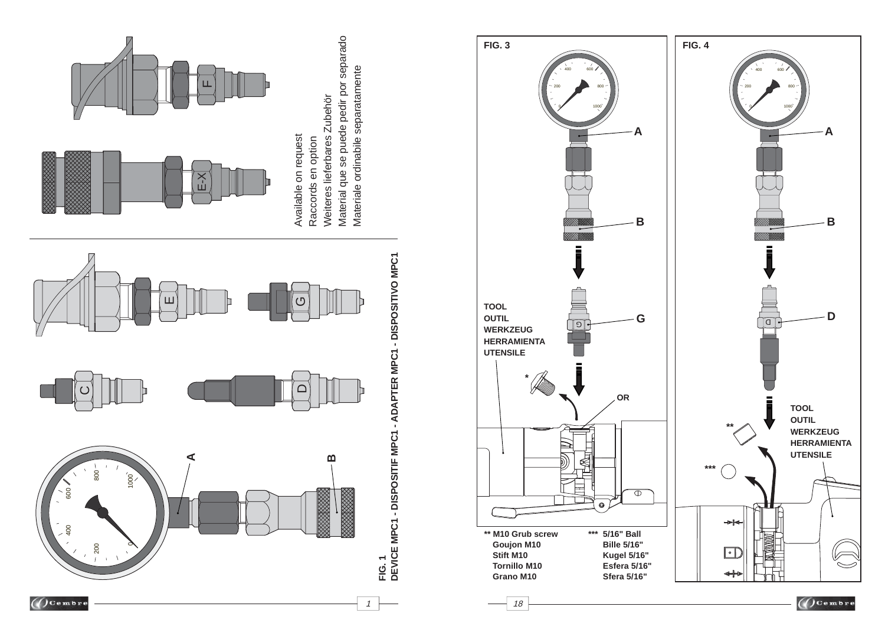



1  $\rightarrow$  18

 $\bigcirc$  Cembre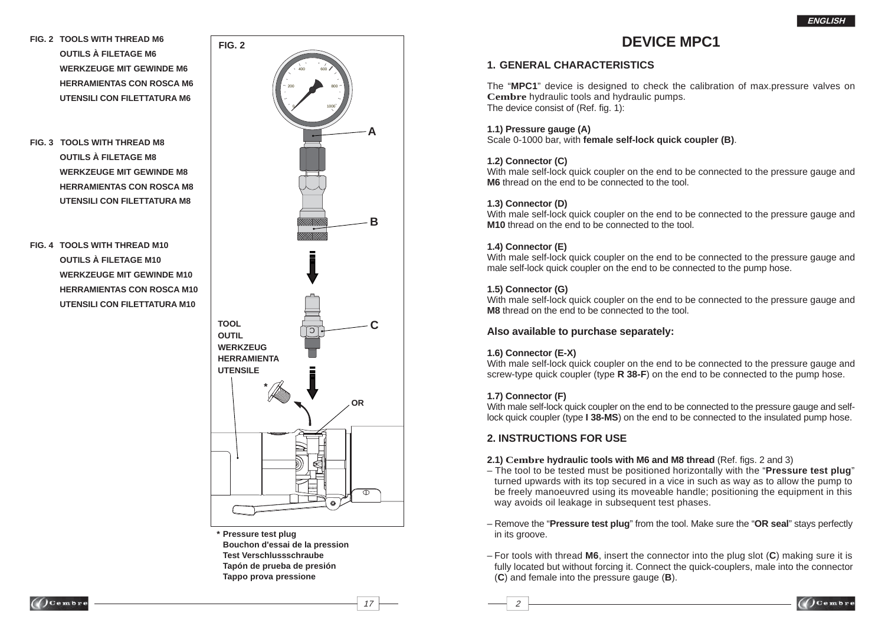**FIG. 2 TOOLS WITH THREAD M6 OUTILS À FILETAGE M6 WERKZEUGE MIT GEWINDE M6 HERRAMIENTAS CON ROSCA M6 UTENSILI CON FILETTATURA M6**

**FIG. 2**

**FIG. 3 TOOLS WITH THREAD M8 OUTILS À FILETAGE M8 WERKZEUGE MIT GEWINDE M8 HERRAMIENTAS CON ROSCA M8 UTENSILI CON FILETTATURA M8**

> **WERKZEUGE MIT GEWINDE M10 HERRAMIENTAS CON ROSCA M10 UTENSILI CON FILETTATURA M10**

**FIG. 4 TOOLS WITH THREAD M10 OUTILS À FILETAGE M10**



**\* Pressure test plug Bouchon d'essai de la pression Test Verschlussschraube Tapón de prueba de presión Tappo prova pressione**

# **DEVICE MPC1**

### **1. GENERAL CHARACTERISTICS**

The "**MPC1**" device is designed to check the calibration of max.pressure valves on **Cembre** hydraulic tools and hydraulic pumps. The device consist of (Ref. fig. 1):

#### **1.1) Pressure gauge (A)**

Scale 0-1000 bar, with **female self-lock quick coupler (B)**.

#### **1.2) Connector (C)**

With male self-lock quick coupler on the end to be connected to the pressure gauge and **M6** thread on the end to be connected to the tool.

#### **1.3) Connector (D)**

With male self-lock quick coupler on the end to be connected to the pressure gauge and **M10** thread on the end to be connected to the tool.

### **1.4) Connector (E)**

With male self-lock quick coupler on the end to be connected to the pressure gauge and male self-lock quick coupler on the end to be connected to the pump hose.

### **1.5) Connector (G)**

With male self-lock quick coupler on the end to be connected to the pressure gauge and **M8** thread on the end to be connected to the tool.

### **Also available to purchase separately:**

### **1.6) Connector (E-X)**

With male self-lock quick coupler on the end to be connected to the pressure gauge and screw-type quick coupler (type **R 38-F**) on the end to be connected to the pump hose.

### **1.7) Connector (F)**

 $\sim$  17  $\sim$  2

With male self-lock quick coupler on the end to be connected to the pressure gauge and selflock quick coupler (type **I 38-MS**) on the end to be connected to the insulated pump hose.

### **2. INSTRUCTIONS FOR USE**

#### **2.1) Cembre hydraulic tools with M6 and M8 thread (Ref. figs. 2 and 3)**

- The tool to be tested must be positioned horizontally with the "**Pressure test plug**" turned upwards with its top secured in a vice in such as way as to allow the pump to be freely manoeuvred using its moveable handle; positioning the equipment in this way avoids oil leakage in subsequent test phases.
- Remove the "**Pressure test plug**" from the tool. Make sure the "**OR seal**" stays perfectly in its groove.
- For tools with thread **M6**, insert the connector into the plug slot (**C**) making sure it is fully located but without forcing it. Connect the quick-couplers, male into the connector (**C**) and female into the pressure gauge (**B**).

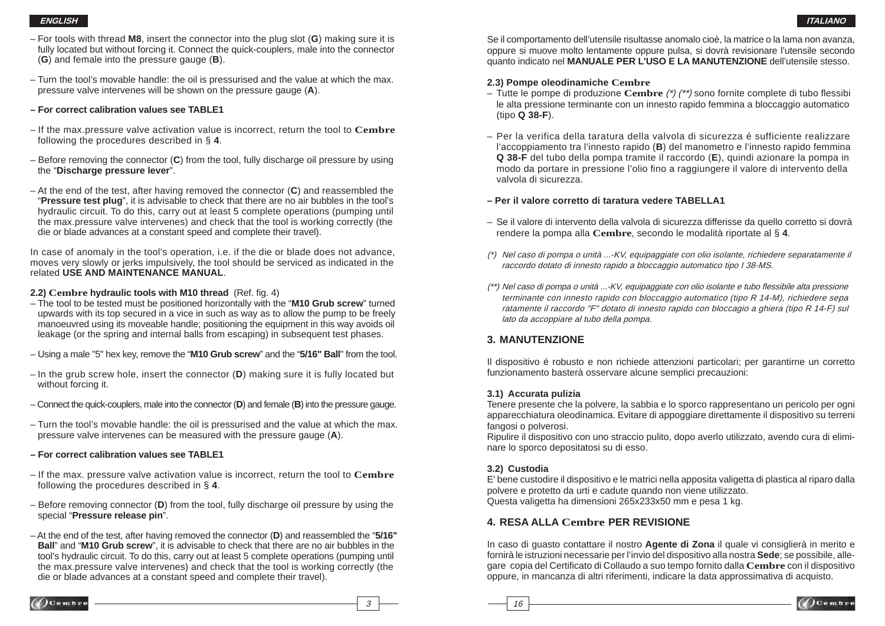- For tools with thread **M8**, insert the connector into the plug slot ( **G**) making sure it is fully located but without forcing it. Connect the quick-couplers, male into the connector ( **G**) and female into the pressure gauge ( **B**).
- Turn the tool's movable handle: the oil is pressurised and the value at which the max. pressure valve intervenes will be shown on the pressure gauge ( **A**).
- **For correct calibration values see TABLE1**
- If the max.pressure valve activation value is incorrect, return the tool to **Cembre** following the procedures described in § **4**.
- Before removing the connector ( **C**) from the tool, fully discharge oil pressure by using the "**Discharge pressure lever**".
- At the end of the test, after having removed the connector ( **C**) and reassembled the "**Pressure test plug**", it is advisable to check that there are no air bubbles in the tool's hydraulic circuit. To do this, carry out at least 5 complete operations (pumping until the max.pressure valve intervenes) and check that the tool is working correctly (the die or blade advances at a constant speed and complete their travel).

In case of anomaly in the tool's operation, i.e. if the die or blade does not advance, moves very slowly or jerks impulsively, the tool should be serviced as indicated in the related **USE AND MAINTENANCE MANUAL**.

#### **2.2) Cembre hydraulic tools with M10 thread** (Ref. fig. 4)

- The tool to be tested must be positioned horizontally with the "**M10 Grub screw**" turned upwards with its top secured in a vice in such as way as to allow the pump to be freely manoeuvred using its moveable handle; positioning the equipment in this way avoids oil leakage (or the spring and internal balls from escaping) in subsequent test phases.
- Using a male "5" hex key, remove the "**M10 Grub screw**" and the "**5/16" Ball**" from the tool.
- In the grub screw hole, insert the connector ( **D**) making sure it is fully located but without forcing it.
- Connect the quick-couplers, male into the connector ( **D**) and female ( **B**) into the pressure gauge.
- Turn the tool's movable handle: the oil is pressurised and the value at which the max. pressure valve intervenes can be measured with the pressure gauge ( **A**).
- **For correct calibration values see TABLE1**
- If the max. pressure valve activation value is incorrect, return the tool to **Cembre** following the procedures described in § **4**.
- Before removing connector ( **D**) from the tool, fully discharge oil pressure by using the special "**Pressure release pin**".
- At the end of the test, after having removed the connector ( **D**) and reassembled the "**5/16" Ball**" and "**M10 Grub screw**", it is advisable to check that there are no air bubbles in the tool's hydraulic circuit. To do this, carry out at least 5 complete operations (pumping until the max.pressure valve intervenes) and check that the tool is working correctly (the die or blade advances at a constant speed and complete their travel).

Se il comportamento dell'utensile risultasse anomalo cioè, la matrice o la lama non avanza, oppure si muove molto lentamente oppure pulsa, si dovrà revisionare l'utensile secondo quanto indicato nel **MANUALE PER L'USO E LA MANUTENZIONE** dell'utensile stesso.

#### **2.3) Pompe oleodinamiche Cembre**

- Tutte le pompe di produzione Cembre (\*) (\*\*) sono fornite complete di tubo flessibi le alta pressione terminante con un innesto rapido femmina a bloccaggio automatico (tipo **Q 38-F**).
- Per la verifica della taratura della valvola di sicurezza é sufficiente realizzare l'accoppiamento tra l'innesto rapido ( **B**) del manometro e l'innesto rapido femmina **Q 38-F** del tubo della pompa tramite il raccordo ( **E**), quindi azionare la pompa in modo da portare in pressione l'olio fino a raggiungere il valore di intervento della valvola di sicurezza.

#### **– Per il valore corretto di taratura vedere TABELLA1**

- Se il valore di intervento della valvola di sicurezza differisse da quello corretto si dovrà rendere la pompa alla **Cembre**, secondo le modalità riportate al § **4**.
- (\*) Nel caso di pompa o unità ...-KV, equipaggiate con olio isolante, richiedere separatamente il raccordo dotato di innesto rapido a bloccaggio automatico tipo I 38-MS.
- (\*\*) Nel caso di pompa o unità ...-KV, equipaggiate con olio isolante e tubo fl essibile alta pressione terminante con innesto rapido con bloccaggio automatico (tipo R 14-M), richiedere sepa ratamente il raccordo "F" dotato di innesto rapido con bloccagio a ghiera (tipo R 14-F) sul lato da accoppiare al tubo della pompa.

### **3. MANUTENZIONE**

Il dispositivo é robusto e non richiede attenzioni particolari; per garantirne un corretto funzionamento basterà osservare alcune semplici precauzioni:

### **3.1) Accurata pulizia**

Tenere presente che la polvere, la sabbia e lo sporco rappresentano un pericolo per ogni apparecchiatura oleodinamica. Evitare di appoggiare direttamente il dispositivo su terreni fangosi o polverosi.

Ripulire il dispositivo con uno straccio pulito, dopo averlo utilizzato, avendo cura di eliminare lo sporco depositatosi su di esso.

### **3.2) Custodia**

E' bene custodire il dispositivo e le matrici nella apposita valigetta di plastica al riparo dalla polvere e protetto da urti e cadute quando non viene utilizzato. Questa valigetta ha dimensioni 265x233x50 mm e pesa 1 kg.

### **4. RESA ALLA Cembre PER REVISIONE**

In caso di guasto contattare il nostro **Agente di Zona** il quale vi consiglierà in merito e fornirà le istruzioni necessarie per l'invio del dispositivo alla nostra **Sede**; se possibile, allegare copia del Certificato di Collaudo a suo tempo fornito dalla Cembre con il dispositivo oppure, in mancanza di altri riferimenti, indicare la data approssimativa di acquisto.



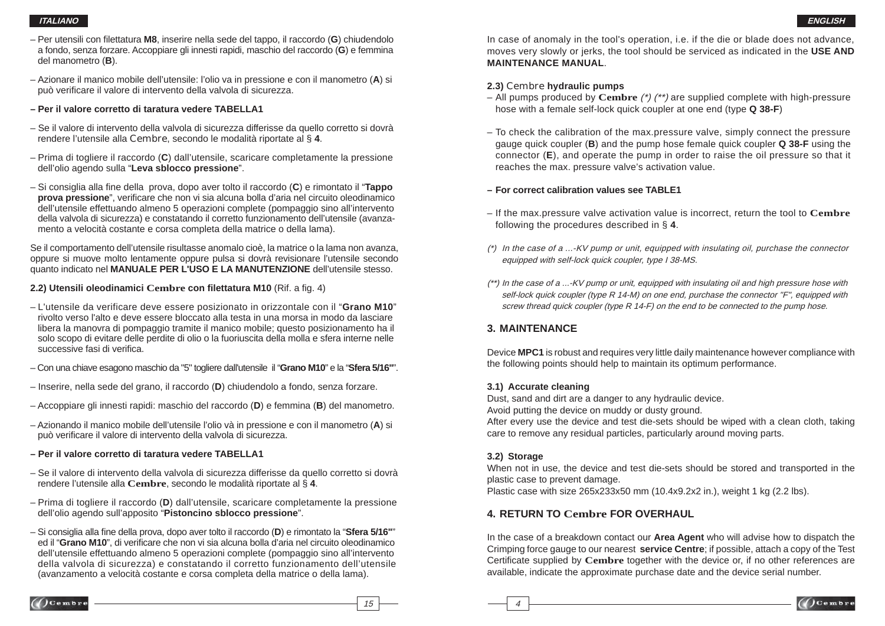- Per utensili con fi lettatura **M8**, inserire nella sede del tappo, il raccordo (**G**) chiudendolo a fondo, senza forzare. Accoppiare gli innesti rapidi, maschio del raccordo (**G**) e femmina del manometro (**B**).
- Azionare il manico mobile dell'utensile: l'olio va in pressione e con il manometro (**A**) si può verificare il valore di intervento della valvola di sicurezza.
- **Per il valore corretto di taratura vedere TABELLA1**
- Se il valore di intervento della valvola di sicurezza differisse da quello corretto si dovrà rendere l'utensile alla Cembre, secondo le modalità riportate al § **4**.
- Prima di togliere il raccordo (**C**) dall'utensile, scaricare completamente la pressione dell'olio agendo sulla "**Leva sblocco pressione**".
- Si consiglia alla fi ne della prova, dopo aver tolto il raccordo (**C**) e rimontato il "**Tappo prova pressione**", verificare che non vi sia alcuna bolla d'aria nel circuito oleodinamico dell'utensile effettuando almeno 5 operazioni complete (pompaggio sino all'intervento della valvola di sicurezza) e constatando il corretto funzionamento dell'utensile (avanza mento a velocità costante e corsa completa della matrice o della lama).

Se il comportamento dell'utensile risultasse anomalo cioè, la matrice o la lama non avanza, oppure si muove molto lentamente oppure pulsa si dovrà revisionare l'utensile secondo quanto indicato nel **MANUALE PER L'USO E LA MANUTENZIONE** dell'utensile stesso.

#### **2.2) Utensili oleodinamici Cembre con filettatura M10 (Rif. a fig. 4)**

- L'utensile da verificare deve essere posizionato in orizzontale con il "**Grano M10**" rivolto verso l'alto e deve essere bloccato alla testa in una morsa in modo da lasciare libera la manovra di pompaggio tramite il manico mobile; questo posizionamento ha il solo scopo di evitare delle perdite di olio o la fuoriuscita della molla e sfera interne nelle successive fasi di verifica.
- Con una chiave esagono maschio da "5" togliere dall'utensile il "**Grano M10**" e la "**Sfera 5/16"**".
- Inserire, nella sede del grano, il raccordo (**D**) chiudendolo a fondo, senza forzare.
- Accoppiare gli innesti rapidi: maschio del raccordo (**D**) e femmina (**B**) del manometro.
- Azionando il manico mobile dell'utensile l'olio và in pressione e con il manometro (**A**) si può verificare il valore di intervento della valvola di sicurezza.
- **Per il valore corretto di taratura vedere TABELLA1**
- Se il valore di intervento della valvola di sicurezza differisse da quello corretto si dovrà rendere l'utensile alla **Cembre**, secondo le modalità riportate al § **4**.
- Prima di togliere il raccordo (**D**) dall'utensile, scaricare completamente la pressione dell'olio agendo sull'apposito "**Pistoncino sblocco pressione**".
- Si consiglia alla fi ne della prova, dopo aver tolto il raccordo (**D**) e rimontato la "**Sfera 5/16"**" ed il "Grano M10", di verificare che non vi sia alcuna bolla d'aria nel circuito oleodinamico dell'utensile effettuando almeno 5 operazioni complete (pompaggio sino all'intervento della valvola di sicurezza) e constatando il corretto funzionamento dell'utensile (avanzamento a velocità costante e corsa completa della matrice o della lama).

In case of anomaly in the tool's operation, i.e. if the die or blade does not advance, moves very slowly or jerks, the tool should be serviced as indicated in the **USE AND MAINTENANCE MANUAL**.

#### **2.3)** Cembre **hydraulic pumps**

- All pumps produced by **Cembre** (\*) (\*\*) are supplied complete with high-pressure hose with a female self-lock quick coupler at one end (type **Q 38-F**)
- To check the calibration of the max.pressure valve, simply connect the pressure gauge quick coupler (**B**) and the pump hose female quick coupler **Q 38-F** using the connector (**E**), and operate the pump in order to raise the oil pressure so that it reaches the max. pressure valve's activation value.

#### **– For correct calibration values see TABLE1**

- If the max.pressure valve activation value is incorrect, return the tool to **Cembre** following the procedures described in § **4**.
- $(*)$  In the case of a ...-KV pump or unit, equipped with insulating oil, purchase the connector equipped with self-lock quick coupler, type I 38-MS.
- (\*\*) In the case of a ...-KV pump or unit, equipped with insulating oil and high pressure hose with self-lock quick coupler (type R 14-M) on one end, purchase the connector "F", equipped with screw thread quick coupler (type R 14-F) on the end to be connected to the pump hose.

### **3. MAINTENANCE**

Device **MPC1** is robust and requires very little daily maintenance however compliance with the following points should help to maintain its optimum performance.

#### **3.1) Accurate cleaning**

Dust, sand and dirt are a danger to any hydraulic device.

Avoid putting the device on muddy or dusty ground.

After every use the device and test die-sets should be wiped with a clean cloth, taking care to remove any residual particles, particularly around moving parts.

#### **3.2) Storage**

When not in use, the device and test die-sets should be stored and transported in the plastic case to prevent damage.

Plastic case with size 265x233x50 mm (10.4x9.2x2 in.), weight 1 kg (2.2 lbs).

### **4. RETURN TO Cembre FOR OVERHAUL**

In the case of a breakdown contact our **Area Agent** who will advise how to dispatch the Crimping force gauge to our nearest **service Centre**; if possible, attach a copy of the Test Certificate supplied by **Cembre** together with the device or, if no other references are available, indicate the approximate purchase date and the device serial number.



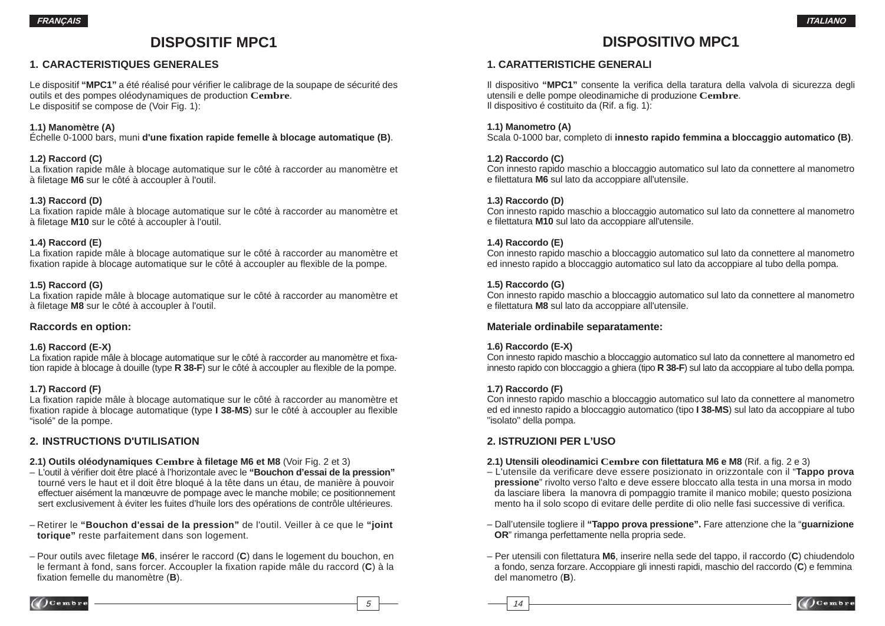# **DISPOSITIF MPC1**

### **1. CARACTERISTIQUES GENERALES**

Le dispositif "MPC1" a été réalisé pour vérifier le calibrage de la soupape de sécurité des outils et des pompes oléodynamiques de production **Cembre**. Le dispositif se compose de (Voir Fig. 1):

**1.1) Manomètre (A)** Échelle 0-1000 bars, muni **d'une fi xation rapide femelle à blocage automatique (B)**.

#### **1.2) Raccord (C)**

La fixation rapide mâle à blocage automatique sur le côté à raccorder au manomètre et à fi letage **M6** sur le côté à accoupler à l'outil.

#### **1.3) Raccord (D)**

La fixation rapide mâle à blocage automatique sur le côté à raccorder au manomètre et à filetage M10 sur le côté à accoupler à l'outil.

#### **1.4) Raccord (E)**

La fixation rapide mâle à blocage automatique sur le côté à raccorder au manomètre et fixation rapide à blocage automatique sur le côté à accoupler au flexible de la pompe.

#### **1.5) Raccord (G)**

La fixation rapide mâle à blocage automatique sur le côté à raccorder au manomètre et à fi letage **M8** sur le côté à accoupler à l'outil.

#### **Raccords en option:**

#### **1.6) Raccord (E-X)**

La fixation rapide mâle à blocage automatique sur le côté à raccorder au manomètre et fixation rapide à blocage à douille (type **R 38-F**) sur le côté à accoupler au flexible de la pompe.

#### **1.7) Raccord (F)**

La fixation rapide mâle à blocage automatique sur le côté à raccorder au manomètre et fixation rapide à blocage automatique (type **I 38-MS**) sur le côté à accoupler au flexible "isolé" de la pompe.

#### **2. INSTRUCTIONS D'UTILISATION**

#### **2.1) Outils oléodynamiques Cembre à fi letage M6 et M8** (Voir Fig. 2 et 3)

- L'outil à vérifi er doit être placé à l'horizontale avec le **"Bouchon d'essai de la pression"** tourné vers le haut et il doit être bloqué à la tête dans un étau, de manière à pouvoir effectuer aisément la manœuvre de pompage avec le manche mobile; ce positionnement sert exclusivement à éviter les fuites d'huile lors des opérations de contrôle ultérieures.
- Retirer le **"Bouchon d'essai de la pression"** de l'outil. Veiller à ce que le **"joint torique"** reste parfaitement dans son logement.
- Pour outils avec fi letage **M6**, insérer le raccord (**C**) dans le logement du bouchon, en le fermant à fond, sans forcer. Accoupler la fixation rapide mâle du raccord (C) à la fixation femelle du manomètre (B).

# **DISPOSITIVO MPC1**

### **1. CARATTERISTICHE GENERALI**

Il dispositivo "MPC1" consente la verifica della taratura della valvola di sicurezza degli utensili e delle pompe oleodinamiche di produzione **Cembre**. Il dispositivo é costituito da (Rif. a fig. 1):

#### **1.1) Manometro (A)**

Scala 0-1000 bar, completo di **innesto rapido femmina a bloccaggio automatico (B)**.

#### **1.2) Raccordo (C)**

Con innesto rapido maschio a bloccaggio automatico sul lato da connettere al manometro e filettatura **M6** sul lato da accoppiare all'utensile.

#### **1.3) Raccordo (D)**

Con innesto rapido maschio a bloccaggio automatico sul lato da connettere al manometro e filettatura **M10** sul lato da accoppiare all'utensile.

#### **1.4) Raccordo (E)**

Con innesto rapido maschio a bloccaggio automatico sul lato da connettere al manometro ed innesto rapido a bloccaggio automatico sul lato da accoppiare al tubo della pompa.

#### **1.5) Raccordo (G)**

Con innesto rapido maschio a bloccaggio automatico sul lato da connettere al manometro e filettatura **M8** sul lato da accoppiare all'utensile.

#### **Materiale ordinabile separatamente:**

#### **1.6) Raccordo (E-X)**

Con innesto rapido maschio a bloccaggio automatico sul lato da connettere al manometro ed innesto rapido con bloccaggio a ghiera (tipo **R 38-F**) sul lato da accoppiare al tubo della pompa.

#### **1.7) Raccordo (F)**

Con innesto rapido maschio a bloccaggio automatico sul lato da connettere al manometro ed ed innesto rapido a bloccaggio automatico (tipo **I 38-MS**) sul lato da accoppiare al tubo "isolato" della pompa.

#### **2. ISTRUZIONI PER L'USO**

#### **2.1) Utensili oleodinamici Cembre con filettatura M6 e M8 (Rif. a fig. 2 e 3)**

- L'utensile da verifi care deve essere posizionato in orizzontale con il "**Tappo prova pressione**" rivolto verso l'alto e deve essere bloccato alla testa in una morsa in modo da lasciare libera la manovra di pompaggio tramite il manico mobile; questo posiziona mento ha il solo scopo di evitare delle perdite di olio nelle fasi successive di verifica.
- Dall'utensile togliere il **"Tappo prova pressione".** Fare attenzione che la "**guarnizione OR**" rimanga perfettamente nella propria sede.
- Per utensili con fi lettatura **M6**, inserire nella sede del tappo, il raccordo (**C**) chiudendolo a fondo, senza forzare. Accoppiare gli innesti rapidi, maschio del raccordo (**C**) e femmina del manometro (**B**).



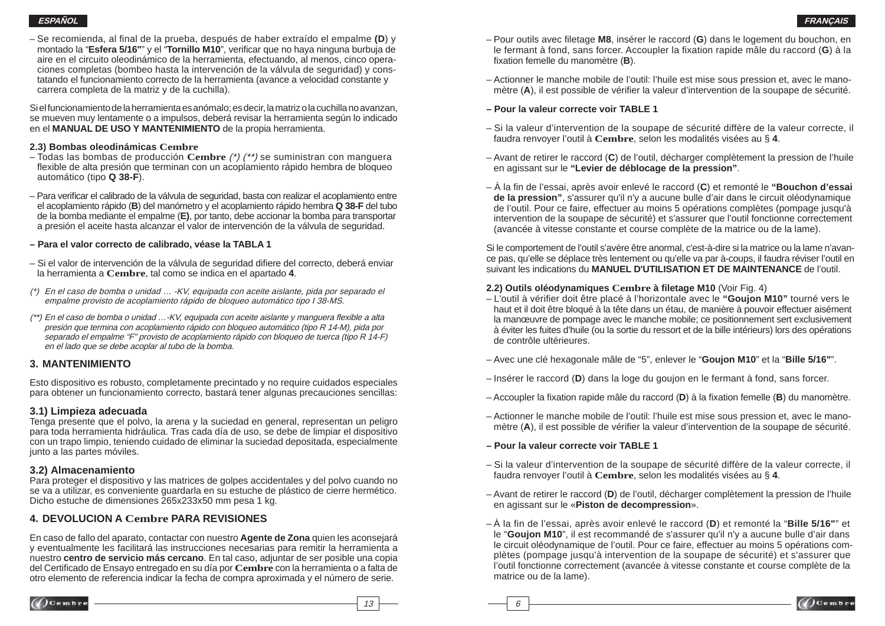#### **ESPAÑOLFRANÇAIS**

– Se recomienda, al fi nal de la prueba, después de haber extraído el empalme **(D**) y montado la "Esfera 5/16"" y el "Tornillo M10", verificar que no haya ninguna burbuja de aire en el circuito oleodinámico de la herramienta, efectuando, al menos, cinco opera ciones completas (bombeo hasta la intervención de la válvula de seguridad) y cons tatando el funcionamiento correcto de la herramienta (avance a velocidad constante y carrera completa de la matriz y de la cuchilla).

Si el funcionamiento de la herramienta es anómalo; es decir, la matriz o la cuchilla no avanzan, se mueven muy lentamente o a impulsos, deberá revisar la herramienta según lo indicado en el **MANUAL DE USO Y MANTENIMIENTO** de la propia herramienta.

#### **2.3) Bombas oleodinámicas Cembre**

- Todas las bombas de producción **Cembre** (\*) (\*\*) se suministran con manguera flexible de alta presión que terminan con un acoplamiento rápido hembra de bloqueo automático (tipo **Q 38-F**).
- Para verifi car el calibrado de la válvula de seguridad, basta con realizar el acoplamiento entre el acoplamiento rápido ( **B**) del manómetro y el acoplamiento rápido hembra **Q 38-F** del tubo de la bomba mediante el empalme (**E)**, por tanto, debe accionar la bomba para transportar a presión el aceite hasta alcanzar el valor de intervención de la válvula de seguridad.

#### **– Para el valor correcto de calibrado, véase la TABLA 1**

- Si el valor de intervención de la válvula de seguridad difiere del correcto, deberá enviar la herramienta a **Cembre**, tal como se indica en el apartado **4**.
- (\*) En el caso de bomba o unidad … -KV, equipada con aceite aislante, pida por separado el empalme provisto de acoplamiento rápido de bloqueo automático tipo I 38-MS.
- (\*\*) En el caso de bomba o unidad …-KV, equipada con aceite aislante y manguera fl exible a alta presión que termina con acoplamiento rápido con bloqueo automático (tipo R 14-M), pida por separado el empalme "F" provisto de acoplamiento rápido con bloqueo de tuerca (tipo R 14-F) en el lado que se debe acoplar al tubo de la bomba.

### **3. MANTENIMIENTO**

Esto dispositivo es robusto, completamente precintado y no require cuidados especiales para obtener un funcionamiento correcto, bastará tener algunas precauciones sencillas:

#### **3.1) Limpieza adecuada**

Tenga presente que el polvo, la arena y la suciedad en general, representan un peligro para toda herramienta hidráulica. Tras cada día de uso, se debe de limpiar el dispositivo con un trapo limpio, teniendo cuidado de eliminar la suciedad depositada, especialmente junto a las partes móviles.

#### **3.2) Almacenamiento**

Para proteger el dispositivo y las matrices de golpes accidentales y del polvo cuando no se va a utilizar, es conveniente guardarla en su estuche de plástico de cierre hermético. Dicho estuche de dimensiones 265x233x50 mm pesa 1 kg.

### **4. DEVOLUCION A Cembre PARA REVISIONES**

En caso de fallo del aparato, contactar con nuestro **Agente de Zona** quien les aconsejará y eventualmente les facilitará las instrucciones necesarias para remitir la herramienta a nuestro **centro de servicio más cercano**. En tal caso, adjuntar de ser posible una copia del Certificado de Ensayo entregado en su día por Cembre con la herramienta o a falta de otro elemento de referencia indicar la fecha de compra aproximada y el número de serie.

- Pour outils avec filetage **M8**, insérer le raccord (**G**) dans le logement du bouchon, en le fermant à fond, sans forcer. Accoupler la fixation rapide mâle du raccord (G) à la fixation femelle du manomètre (**B**).
- Actionner le manche mobile de l'outil: l'huile est mise sous pression et, avec le mano mètre (A), il est possible de vérifier la valeur d'intervention de la soupape de sécurité.

#### **– Pour la valeur correcte voir TABLE 1**

- Si la valeur d'intervention de la soupape de sécurité diffère de la valeur correcte, il faudra renvoyer l'outil à **Cembre**, selon les modalités visées au § **4**.
- Avant de retirer le raccord ( **C**) de l'outil, décharger complètement la pression de l'huile en agissant sur le **"Levier de déblocage de la pression"**.
- À la fin de l'essai, après avoir enlevé le raccord (C) et remonté le "Bouchon d'essai  **de la pression"**, <sup>s</sup>'assurer qu'il n'y a aucune bulle d'air dans le circuit oléodynamique de l'outil. Pour ce faire, effectuer au moins 5 opérations complètes (pompage jusqu'à intervention de la soupape de sécurité) et s'assurer que l'outil fonctionne correctement (avancée à vitesse constante et course complète de la matrice ou de la lame).

Si le comportement de l'outil s'avère être anormal, c'est-à-dire si la matrice ou la lame n'avance pas, qu'elle se déplace très lentement ou qu'elle va par à-coups, il faudra réviser l'outil en suivant les indications du **MANUEL D'UTILISATION ET DE MAINTENANCE** de l'outil.

#### **2.2) Outils oléodynamiques Cembre à fi letage M10** (Voir Fig. 4)

- L'outil à vérifier doit être placé à l'horizontale avec le "Goujon M10" tourné vers le haut et il doit être bloqué à la tête dans un étau, de manière à pouvoir effectuer aisément la manœuvre de pompage avec le manche mobile; ce positionnement sert exclusivement à éviter les fuites d'huile (ou la sortie du ressort et de la bille intérieurs) lors des opérations de contrôle ultérieures.
- Avec une clé hexagonale mâle de "5", enlever le "**Goujon M10**" et la "**Bille 5/16"**".
- Insérer le raccord ( **D**) dans la loge du goujon en le fermant à fond, sans forcer.
- Accoupler la fixation rapide mâle du raccord (**D**) à la fixation femelle (**B**) du manomètre.
- Actionner le manche mobile de l'outil: l'huile est mise sous pression et, avec le mano mètre (A), il est possible de vérifier la valeur d'intervention de la soupape de sécurité.

#### **– Pour la valeur correcte voir TABLE 1**

 $\overline{\phantom{aa}}$  13  $\overline{\phantom{aa}}$  6

- Si la valeur d'intervention de la soupape de sécurité diffère de la valeur correcte, il faudra renvoyer l'outil à **Cembre**, selon les modalités visées au § **4**.
- Avant de retirer le raccord ( **D**) de l'outil, décharger complètement la pression de l'huile en agissant sur le «**Piston de decompression**».
- À la fin de l'essai, après avoir enlevé le raccord ( **D**) et remonté la "**Bille 5/16"**" et le "**Goujon M10**", il est recommandé de s'assurer qu'il n'y a aucune bulle d'air dans le circuit oléodynamique de l'outil. Pour ce faire, effectuer au moins 5 opérations com plètes (pompage jusqu'à intervention de la soupape de sécurité) et s'assurer que l'outil fonctionne correctement (avancée à vitesse constante et course complète de la matrice ou de la lame).







 $\int$  Cembre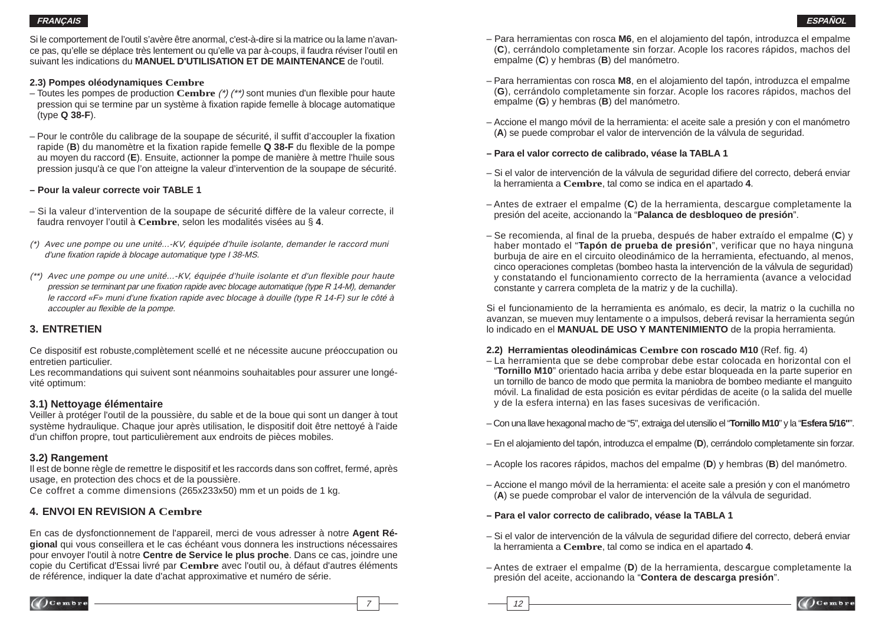Si le comportement de l'outil s'avère être anormal, c'est-à-dire si la matrice ou la lame n'avance pas, qu'elle se déplace très lentement ou qu'elle va par à-coups, il faudra réviser l'outil en suivant les indications du **MANUEL D'UTILISATION ET DE MAINTENANCE** de l'outil.

#### **2.3) Pompes oléodynamiques Cembre**

- Toutes les pompes de production **Cembre** (\*) (\*\*) sont munies d'un flexible pour haute pression qui se termine par un système à fi xation rapide femelle à blocage automatique (type **Q 38-F**).
- Pour le contrôle du calibrage de la soupape de sécurité, il suffit d'accoupler la fixation rapide (**B**) du manomètre et la fixation rapide femelle **Q 38-F** du flexible de la pompe au moyen du raccord (**E**). Ensuite, actionner la pompe de manière à mettre l'huile sous pression jusqu'à ce que l'on atteigne la valeur d'intervention de la soupape de sécurité.

### **– Pour la valeur correcte voir TABLE 1**

- Si la valeur d'intervention de la soupape de sécurité diffère de la valeur correcte, il faudra renvoyer l'outil à **Cembre**, selon les modalités visées au § **4**.
- (\*) Avec une pompe ou une unité...-KV, équipée d'huile isolante, demander le raccord muni d'une fixation rapide à blocage automatique type I 38-MS.
- (\*\*) Avec une pompe ou une unité...-KV, équipée d'huile isolante et d'un flexible pour haute pression se terminant par une fixation rapide avec blocage automatique (type R 14-M), demander le raccord «F» muni d'une fixation rapide avec blocage à douille (type R 14-F) sur le côté à accoupler au flexible de la pompe.

## **3. ENTRETIEN**

Ce dispositif est robuste,complètement scellé et ne nécessite aucune préoccupation ou entretien particulier.

Les recommandations qui suivent sont néanmoins souhaitables pour assurer une longévité optimum:

### **3.1) Nettoyage élémentaire**

Veiller à protéger l'outil de la poussière, du sable et de la boue qui sont un danger à tout système hydraulique. Chaque jour après utilisation, le dispositif doit être nettoyé à l'aide d'un chiffon propre, tout particulièrement aux endroits de pièces mobiles.

### **3.2) Rangement**

Il est de bonne règle de remettre le dispositif et les raccords dans son coffret, fermé, après usage, en protection des chocs et de la poussière.

Ce coffret a comme dimensions (265x233x50) mm et un poids de 1 kg.

## **4. ENVOI EN REVISION A Cembre**

En cas de dysfonctionnement de l'appareil, merci de vous adresser à notre **Agent Régional** qui vous conseillera et le cas échéant vous donnera les instructions nécessaires pour envoyer l'outil à notre **Centre de Service le plus proche**. Dans ce cas, joindre une copie du Certificat d'Essai livré par **Cembre** avec l'outil ou, à défaut d'autres éléments de référence, indiquer la date d'achat approximative et numéro de série.

- Para herramientas con rosca **M6**, en el alojamiento del tapón, introduzca el empalme (**C**), cerrándolo completamente sin forzar. Acople los racores rápidos, machos del empalme (**C**) y hembras (**B**) del manómetro.
- Para herramientas con rosca **M8**, en el alojamiento del tapón, introduzca el empalme (**G**), cerrándolo completamente sin forzar. Acople los racores rápidos, machos del empalme (**G**) y hembras (**B**) del manómetro.
- Accione el mango móvil de la herramienta: el aceite sale a presión y con el manómetro (**A**) se puede comprobar el valor de intervención de la válvula de seguridad.
- **Para el valor correcto de calibrado, véase la TABLA 1**
- Si el valor de intervención de la válvula de seguridad difi ere del correcto, deberá enviar la herramienta a **Cembre**, tal como se indica en el apartado **4**.
- Antes de extraer el empalme (**C**) de la herramienta, descargue completamente la presión del aceite, accionando la "**Palanca de desbloqueo de presión**".
- Se recomienda, al fi nal de la prueba, después de haber extraído el empalme (**C**) y haber montado el "**Tapón de prueba de presión**", verificar que no haya ninguna burbuja de aire en el circuito oleodinámico de la herramienta, efectuando, al menos, cinco operaciones completas (bombeo hasta la intervención de la válvula de seguridad) y constatando el funcionamiento correcto de la herramienta (avance a velocidad constante y carrera completa de la matriz y de la cuchilla).

Si el funcionamiento de la herramienta es anómalo, es decir, la matriz o la cuchilla no avanzan, se mueven muy lentamente o a impulsos, deberá revisar la herramienta según lo indicado en el **MANUAL DE USO Y MANTENIMIENTO** de la propia herramienta.

### **2.2) Herramientas oleodinámicas Cembre con roscado M10 (Ref. fig. 4)**

- La herramienta que se debe comprobar debe estar colocada en horizontal con el "**Tornillo M10**" orientado hacia arriba y debe estar bloqueada en la parte superior en un tornillo de banco de modo que permita la maniobra de bombeo mediante el manguito móvil. La finalidad de esta posición es evitar pérdidas de aceite (o la salida del muelle y de la esfera interna) en las fases sucesivas de verificación.
- Con una llave hexagonal macho de "5", extraiga del utensilio el "**Tornillo M10**" y la "**Esfera 5/16"**".
- En el alojamiento del tapón, introduzca el empalme (**D**), cerrándolo completamente sin forzar.
- Acople los racores rápidos, machos del empalme (**D**) y hembras (**B**) del manómetro.
- Accione el mango móvil de la herramienta: el aceite sale a presión y con el manómetro (**A**) se puede comprobar el valor de intervención de la válvula de seguridad.
- **Para el valor correcto de calibrado, véase la TABLA 1**
- Si el valor de intervención de la válvula de seguridad difiere del correcto, deberá enviar la herramienta a **Cembre**, tal como se indica en el apartado **4**.
- Antes de extraer el empalme (**D**) de la herramienta, descargue completamente la presión del aceite, accionando la "**Contera de descarga presión**".



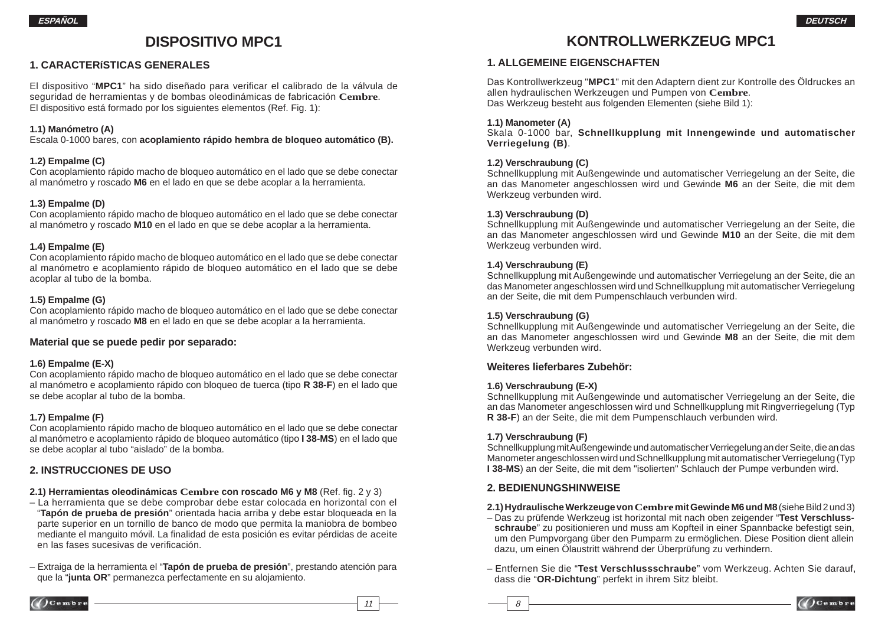# **DISPOSITIVO MPC1**

### **1. CARACTERíSTICAS GENERALES**

El dispositivo "MPC1" ha sido diseñado para verificar el calibrado de la válvula de seguridad de herramientas y de bombas oleodinámicas de fabricación **Cembre**. El dispositivo está formado por los siguientes elementos (Ref. Fig. 1):

#### **1.1) Manómetro (A)**

Escala 0-1000 bares, con **acoplamiento rápido hembra de bloqueo automático (B).**

#### **1.2) Empalme (C)**

Con acoplamiento rápido macho de bloqueo automático en el lado que se debe conectar al manómetro y roscado **M6** en el lado en que se debe acoplar a la herramienta.

#### **1.3) Empalme (D)**

Con acoplamiento rápido macho de bloqueo automático en el lado que se debe conectar al manómetro y roscado **M10** en el lado en que se debe acoplar a la herramienta.

#### **1.4) Empalme (E)**

Con acoplamiento rápido macho de bloqueo automático en el lado que se debe conectar al manómetro e acoplamiento rápido de bloqueo automático en el lado que se debe acoplar al tubo de la bomba.

#### **1.5) Empalme (G)**

Con acoplamiento rápido macho de bloqueo automático en el lado que se debe conectar al manómetro y roscado **M8** en el lado en que se debe acoplar a la herramienta.

#### **Material que se puede pedir por separado:**

#### **1.6) Empalme (E-X)**

Con acoplamiento rápido macho de bloqueo automático en el lado que se debe conectar al manómetro e acoplamiento rápido con bloqueo de tuerca (tipo **R 38-F**) en el lado que se debe acoplar al tubo de la bomba.

#### **1.7) Empalme (F)**

Con acoplamiento rápido macho de bloqueo automático en el lado que se debe conectar al manómetro e acoplamiento rápido de bloqueo automático (tipo **I 38-MS**) en el lado que se debe acoplar al tubo "aislado" de la bomba.

### **2. INSTRUCCIONES DE USO**

- **2.1) Herramientas oleodinámicas Cembre con roscado M6 y M8 (Ref. fig. 2 y 3)**
- La herramienta que se debe comprobar debe estar colocada en horizontal con el "**Tapón de prueba de presión**" orientada hacia arriba y debe estar bloqueada en la parte superior en un tornillo de banco de modo que permita la maniobra de bombeo mediante el manquito móvil. La finalidad de esta posición es evitar pérdidas de aceite en las fases sucesivas de verificación.
- Extraiga de la herramienta el "**Tapón de prueba de presión**", prestando atención para que la "**junta OR**" permanezca perfectamente en su alojamiento.

# **KONTROLLWERKZEUG MPC1**

### **1. ALLGEMEINE EIGENSCHAFTEN**

Das Kontrollwerkzeug "**MPC1**" mit den Adaptern dient zur Kontrolle des Öldruckes an allen hydraulischen Werkzeugen und Pumpen von **Cembre**. Das Werkzeug besteht aus folgenden Elementen (siehe Bild 1):

#### **1.1) Manometer (A)**

Skala 0-1000 bar, **Schnellkupplung mit Innengewinde und automatischer Verriegelung (B)**.

#### **1.2) Verschraubung (C)**

Schnellkupplung mit Außengewinde und automatischer Verriegelung an der Seite, die an das Manometer angeschlossen wird und Gewinde **M6** an der Seite, die mit dem Werkzeug verbunden wird.

#### **1.3) Verschraubung (D)**

Schnellkupplung mit Außengewinde und automatischer Verriegelung an der Seite, die an das Manometer angeschlossen wird und Gewinde **M10** an der Seite, die mit dem Werkzeug verbunden wird.

#### **1.4) Verschraubung (E)**

Schnellkupplung mit Außengewinde und automatischer Verriegelung an der Seite, die an das Manometer angeschlossen wird und Schnellkupplung mit automatischer Verriegelung an der Seite, die mit dem Pumpenschlauch verbunden wird.

#### **1.5) Verschraubung (G)**

Schnellkupplung mit Außengewinde und automatischer Verriegelung an der Seite, die an das Manometer angeschlossen wird und Gewinde **M8** an der Seite, die mit dem Werkzeug verbunden wird.

#### **Weiteres lieferbares Zubehör:**

#### **1.6) Verschraubung (E-X)**

Schnellkupplung mit Außengewinde und automatischer Verriegelung an der Seite, die an das Manometer angeschlossen wird und Schnellkupplung mit Ringverriegelung (Typ **R 38-F**) an der Seite, die mit dem Pumpenschlauch verbunden wird.

#### **1.7) Verschraubung (F)**

11  $\longrightarrow$  8

Schnellkupplung mit Außengewinde und automatischer Verriegelung an der Seite, die an das Manometer angeschlossen wird und Schnellkupplung mit automatischer Verriegelung (Typ **I 38-MS**) an der Seite, die mit dem "isolierten" Schlauch der Pumpe verbunden wird.

### **2. BEDIENUNGSHINWEISE**

#### **2.1) Hydraulische Werkzeuge von Cembre mit Gewinde M6 und M8** (siehe Bild 2 und 3)

- Das zu prüfende Werkzeug ist horizontal mit nach oben zeigender "**Test Verschluss schraube**" zu positionieren und muss am Kopfteil in einer Spannbacke befestigt sein, um den Pumpvorgang über den Pumparm zu ermöglichen. Diese Position dient allein dazu, um einen Ölaustritt während der Überprüfung zu verhindern.
- Entfernen Sie die "**Test Verschlussschraube**" vom Werkzeug. Achten Sie darauf, dass die "**OR-Dichtung**" perfekt in ihrem Sitz bleibt.